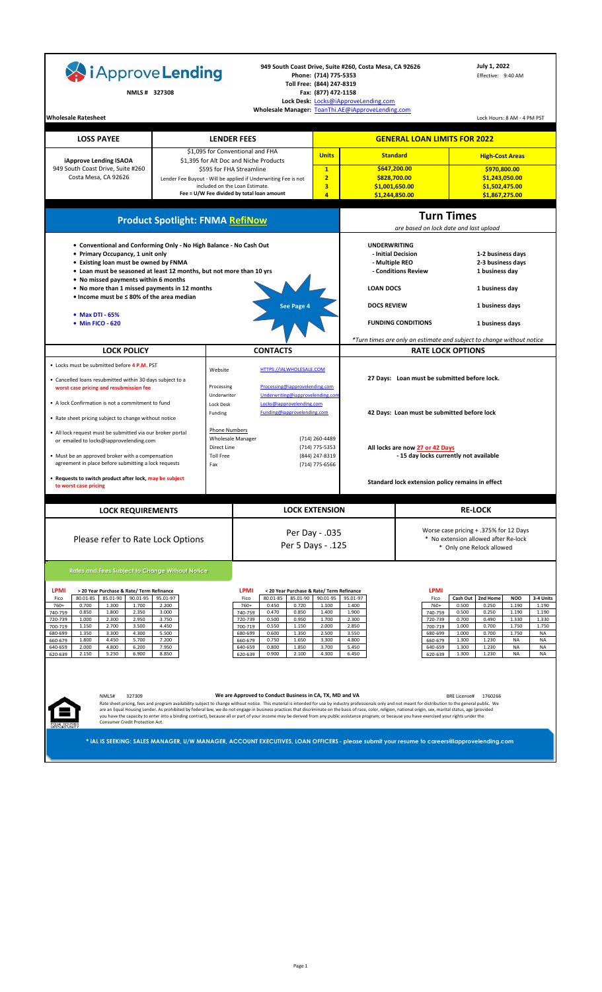| i Approve Lending                                                                                                                                                                                                                                                                                                                                                                                                                                                                                  |                                                                                  |                                                                                                                     |                                                                                                                                                                                                                                                                                                                                                                                                                                                                                                                                                                                                                                       | Phone: (714) 775-5353<br>Toll Free: (844) 247-8319                               | 949 South Coast Drive, Suite #260, Costa Mesa, CA 92626                          |                                                                                                                                                                          | July 1, 2022<br>Effective: 9:40 AM                                                                                                                                                                     |                                                                                                                                                                  |
|----------------------------------------------------------------------------------------------------------------------------------------------------------------------------------------------------------------------------------------------------------------------------------------------------------------------------------------------------------------------------------------------------------------------------------------------------------------------------------------------------|----------------------------------------------------------------------------------|---------------------------------------------------------------------------------------------------------------------|---------------------------------------------------------------------------------------------------------------------------------------------------------------------------------------------------------------------------------------------------------------------------------------------------------------------------------------------------------------------------------------------------------------------------------------------------------------------------------------------------------------------------------------------------------------------------------------------------------------------------------------|----------------------------------------------------------------------------------|----------------------------------------------------------------------------------|--------------------------------------------------------------------------------------------------------------------------------------------------------------------------|--------------------------------------------------------------------------------------------------------------------------------------------------------------------------------------------------------|------------------------------------------------------------------------------------------------------------------------------------------------------------------|
| NMLS # 327308                                                                                                                                                                                                                                                                                                                                                                                                                                                                                      |                                                                                  |                                                                                                                     |                                                                                                                                                                                                                                                                                                                                                                                                                                                                                                                                                                                                                                       | Fax: (877) 472-1158                                                              | Lock Desk: Locks@iApproveLending.com                                             |                                                                                                                                                                          |                                                                                                                                                                                                        |                                                                                                                                                                  |
| <b>Wholesale Ratesheet</b>                                                                                                                                                                                                                                                                                                                                                                                                                                                                         |                                                                                  |                                                                                                                     | Wholesale Manager: ToanThi.AE@iApproveLending.com                                                                                                                                                                                                                                                                                                                                                                                                                                                                                                                                                                                     |                                                                                  |                                                                                  |                                                                                                                                                                          |                                                                                                                                                                                                        | Lock Hours: 8 AM - 4 PM PST                                                                                                                                      |
| <b>LOSS PAYEE</b>                                                                                                                                                                                                                                                                                                                                                                                                                                                                                  |                                                                                  |                                                                                                                     | <b>LENDER FEES</b>                                                                                                                                                                                                                                                                                                                                                                                                                                                                                                                                                                                                                    |                                                                                  |                                                                                  | <b>GENERAL LOAN LIMITS FOR 2022</b>                                                                                                                                      |                                                                                                                                                                                                        |                                                                                                                                                                  |
|                                                                                                                                                                                                                                                                                                                                                                                                                                                                                                    |                                                                                  |                                                                                                                     | \$1,095 for Conventional and FHA                                                                                                                                                                                                                                                                                                                                                                                                                                                                                                                                                                                                      | <b>Units</b>                                                                     | <b>Standard</b>                                                                  |                                                                                                                                                                          |                                                                                                                                                                                                        | <b>High-Cost Areas</b>                                                                                                                                           |
| iApprove Lending ISAOA<br>949 South Coast Drive, Suite #260                                                                                                                                                                                                                                                                                                                                                                                                                                        |                                                                                  |                                                                                                                     | \$1,395 for Alt Doc and Niche Products<br>\$595 for FHA Streamline                                                                                                                                                                                                                                                                                                                                                                                                                                                                                                                                                                    | $\mathbf{1}$                                                                     |                                                                                  | \$647,200.00                                                                                                                                                             |                                                                                                                                                                                                        | \$970,800.00                                                                                                                                                     |
| Costa Mesa, CA 92626                                                                                                                                                                                                                                                                                                                                                                                                                                                                               |                                                                                  |                                                                                                                     | Lender Fee Buyout - Will be applied if Underwriting Fee is not<br>included on the Loan Estimate.                                                                                                                                                                                                                                                                                                                                                                                                                                                                                                                                      | $\overline{2}$<br>3                                                              | \$828,700.00<br>\$1,001,650.00                                                   |                                                                                                                                                                          | \$1,502,475.00                                                                                                                                                                                         | \$1,243,050.00                                                                                                                                                   |
|                                                                                                                                                                                                                                                                                                                                                                                                                                                                                                    |                                                                                  |                                                                                                                     | Fee = U/W Fee divided by total loan amount                                                                                                                                                                                                                                                                                                                                                                                                                                                                                                                                                                                            | $\overline{a}$                                                                   | \$1,244,850.00                                                                   |                                                                                                                                                                          |                                                                                                                                                                                                        | \$1,867,275.00                                                                                                                                                   |
|                                                                                                                                                                                                                                                                                                                                                                                                                                                                                                    | <b>Product Spotlight: FNMA RefiNow</b>                                           |                                                                                                                     |                                                                                                                                                                                                                                                                                                                                                                                                                                                                                                                                                                                                                                       |                                                                                  |                                                                                  | <b>Turn Times</b><br>are based on lock date and last upload                                                                                                              |                                                                                                                                                                                                        |                                                                                                                                                                  |
| • Conventional and Conforming Only - No High Balance - No Cash Out<br>• Primary Occupancy, 1 unit only<br>• Existing loan must be owned by FNMA<br>. Loan must be seasoned at least 12 months, but not more than 10 yrs<br>• No missed payments within 6 months                                                                                                                                                                                                                                    |                                                                                  |                                                                                                                     |                                                                                                                                                                                                                                                                                                                                                                                                                                                                                                                                                                                                                                       |                                                                                  | <b>UNDERWRITING</b><br>- Multiple REO                                            | - Initial Decision<br>- Conditions Review                                                                                                                                | 1-2 business days<br>2-3 business days<br>1 business day                                                                                                                                               |                                                                                                                                                                  |
| • No more than 1 missed payments in 12 months<br>• Income must be < 80% of the area median                                                                                                                                                                                                                                                                                                                                                                                                         |                                                                                  |                                                                                                                     |                                                                                                                                                                                                                                                                                                                                                                                                                                                                                                                                                                                                                                       |                                                                                  | <b>LOAN DOCS</b>                                                                 |                                                                                                                                                                          | 1 business day                                                                                                                                                                                         |                                                                                                                                                                  |
| • Max DTI - 65%                                                                                                                                                                                                                                                                                                                                                                                                                                                                                    |                                                                                  |                                                                                                                     | See Page 4                                                                                                                                                                                                                                                                                                                                                                                                                                                                                                                                                                                                                            |                                                                                  | <b>DOCS REVIEW</b>                                                               |                                                                                                                                                                          | 1 business days                                                                                                                                                                                        |                                                                                                                                                                  |
| • Min FICO - 620                                                                                                                                                                                                                                                                                                                                                                                                                                                                                   |                                                                                  |                                                                                                                     |                                                                                                                                                                                                                                                                                                                                                                                                                                                                                                                                                                                                                                       |                                                                                  |                                                                                  | <b>FUNDING CONDITIONS</b>                                                                                                                                                | 1 business days                                                                                                                                                                                        |                                                                                                                                                                  |
| <b>LOCK POLICY</b>                                                                                                                                                                                                                                                                                                                                                                                                                                                                                 |                                                                                  |                                                                                                                     | <b>CONTACTS</b>                                                                                                                                                                                                                                                                                                                                                                                                                                                                                                                                                                                                                       |                                                                                  |                                                                                  | *Turn times are only an estimate and subject to change without notice<br><b>RATE LOCK OPTIONS</b>                                                                        |                                                                                                                                                                                                        |                                                                                                                                                                  |
| • Locks must be submitted before 4 P.M. PST                                                                                                                                                                                                                                                                                                                                                                                                                                                        |                                                                                  | Website                                                                                                             | HTTPS://IALWHOLESALE.COM                                                                                                                                                                                                                                                                                                                                                                                                                                                                                                                                                                                                              |                                                                                  |                                                                                  |                                                                                                                                                                          |                                                                                                                                                                                                        |                                                                                                                                                                  |
| • Cancelled loans resubmitted within 30 days subject to a<br>worst case pricing and resubmission fee<br>• A lock Confirmation is not a commitment to fund<br>• Rate sheet pricing subject to change without notice<br>• All lock request must be submitted via our broker portal<br>or emailed to locks@iapprovelending.com<br>• Must be an approved broker with a compensation<br>agreement in place before submitting a lock requests<br>. Requests to switch product after lock, may be subject |                                                                                  | Processing<br>Underwriter<br>Lock Desk<br>Funding<br><b>Phone Numbers</b><br>Direct Line<br><b>Toll Free</b><br>Fax | Processing@iapprovelending.com<br>Underwriting@iapprovelending.con<br>Locks@iapprovelending.com<br>Funding@iapprovelending.com<br><b>Wholesale Manager</b>                                                                                                                                                                                                                                                                                                                                                                                                                                                                            | (714) 260-4489<br>(714) 775-5353<br>(844) 247-8319<br>(714) 775-6566             |                                                                                  | 27 Days: Loan must be submitted before lock.<br>42 Days: Loan must be submitted before lock<br>All locks are now 27 or 42 Days<br>- 15 day locks currently not available |                                                                                                                                                                                                        |                                                                                                                                                                  |
| to worst case pricing                                                                                                                                                                                                                                                                                                                                                                                                                                                                              |                                                                                  |                                                                                                                     |                                                                                                                                                                                                                                                                                                                                                                                                                                                                                                                                                                                                                                       |                                                                                  |                                                                                  | Standard lock extension policy remains in effect                                                                                                                         |                                                                                                                                                                                                        |                                                                                                                                                                  |
| <b>LOCK REQUIREMENTS</b>                                                                                                                                                                                                                                                                                                                                                                                                                                                                           |                                                                                  |                                                                                                                     |                                                                                                                                                                                                                                                                                                                                                                                                                                                                                                                                                                                                                                       | <b>LOCK EXTENSION</b><br><b>RE-LOCK</b>                                          |                                                                                  |                                                                                                                                                                          |                                                                                                                                                                                                        |                                                                                                                                                                  |
| Please refer to Rate Lock Options                                                                                                                                                                                                                                                                                                                                                                                                                                                                  |                                                                                  |                                                                                                                     | Worse case pricing + .375% for 12 Days<br>Per Day - .035<br>* No extension allowed after Re-lock<br>Per 5 Days - .125<br>* Only one Relock allowed                                                                                                                                                                                                                                                                                                                                                                                                                                                                                    |                                                                                  |                                                                                  |                                                                                                                                                                          |                                                                                                                                                                                                        |                                                                                                                                                                  |
| <b>Rates and Fees Subject to Change Without Notice</b>                                                                                                                                                                                                                                                                                                                                                                                                                                             |                                                                                  |                                                                                                                     |                                                                                                                                                                                                                                                                                                                                                                                                                                                                                                                                                                                                                                       |                                                                                  |                                                                                  |                                                                                                                                                                          |                                                                                                                                                                                                        |                                                                                                                                                                  |
| <b>LPMI</b><br>> 20 Year Purchase & Rate/ Term Refinance<br>90.01-95<br>80.01-85<br>85.01-90<br>Fico<br>1.700<br>760+<br>0.700<br>1.300<br>0.850<br>1.800<br>2.350<br>740-759<br>1.000<br>2.300<br>2.950<br>720-739<br>1.150<br>2.700<br>3.500<br>700-719<br>680-699<br>1.350<br>3.300<br>4.300<br>4.450<br>660-679<br>1.800<br>5.700<br>640-659<br>2.000<br>4.800<br>6.200<br>2.150<br>5.250<br>6.900<br>620-639<br>NMLS#<br>327309                                                               | 95.01-97<br>2.200<br>3.000<br>3.750<br>4.450<br>5.500<br>7.200<br>7.950<br>8.850 |                                                                                                                     | <b>LPMI</b><br>< 20 Year Purchase & Rate/ Term Refinance<br>80.01-85<br>85.01-90<br>Fico<br>760+<br>0.720<br>0.450<br>0.470<br>0.850<br>740-759<br>0.500<br>0.950<br>720-739<br>0.550<br>1.150<br>700-719<br>680-699<br>0.600<br>1.350<br>660-679<br>0.750<br>1.650<br>640-659<br>0.800<br>1.850<br>0.900<br>2.100<br>620-639<br>We are Approved to Conduct Business in CA, TX, MD and VA                                                                                                                                                                                                                                             | 90.01-95<br>1.100<br>1.400<br>1.700<br>2.000<br>2.500<br>3.300<br>3.700<br>4.300 | 95.01-97<br>1.400<br>1.900<br>2.300<br>2.850<br>3.550<br>4.800<br>5.450<br>6.450 | <b>LPMI</b><br>Fico<br>760+<br>740-759<br>720-739<br>700-719<br>680-699<br>660-679<br>640-659<br>620-639                                                                 | Cash Out<br>2nd Home<br>0.500<br>0.250<br>0.500<br>0.250<br>0.700<br>0.490<br>1.000<br>0.700<br>0.700<br>1.000<br>1.300<br>1.230<br>1.300<br>1.230<br>1.300<br>1.230<br><b>BRE License#</b><br>1760266 | <b>NOO</b><br>3-4 Units<br>1.190<br>1.190<br>1.190<br>1.190<br>1.330<br>1.330<br>1.750<br>1.750<br>1.750<br>ΝA<br><b>NA</b><br>NA<br><b>NA</b><br>NA<br>NA<br>ΝA |
| Consumer Credit Protection Act.                                                                                                                                                                                                                                                                                                                                                                                                                                                                    |                                                                                  |                                                                                                                     | Rate sheet pricing, fees and program availability subject to change without notice. This material is intended for use by industry professionals only and not meant for distribution to the general public. We<br>are an Equal Housing Lender. As prohibited by federal law, we do not engage in business practices that discriminate on the basis of race, color, religion, national origin, sex, marital status, age (provided<br>you have the capacity to enter into a binding contract), because all or part of your income may be derived from any public assistance program; or because you have exercised your rights under the |                                                                                  |                                                                                  |                                                                                                                                                                          |                                                                                                                                                                                                        |                                                                                                                                                                  |
|                                                                                                                                                                                                                                                                                                                                                                                                                                                                                                    |                                                                                  |                                                                                                                     | * IAL IS SEEKING: SALES MANAGER, U/W MANAGER, ACCOUNT EXECUTIVES, LOAN OFFICERS - please submit your resume to careers@iapprovelending.com                                                                                                                                                                                                                                                                                                                                                                                                                                                                                            |                                                                                  |                                                                                  |                                                                                                                                                                          |                                                                                                                                                                                                        |                                                                                                                                                                  |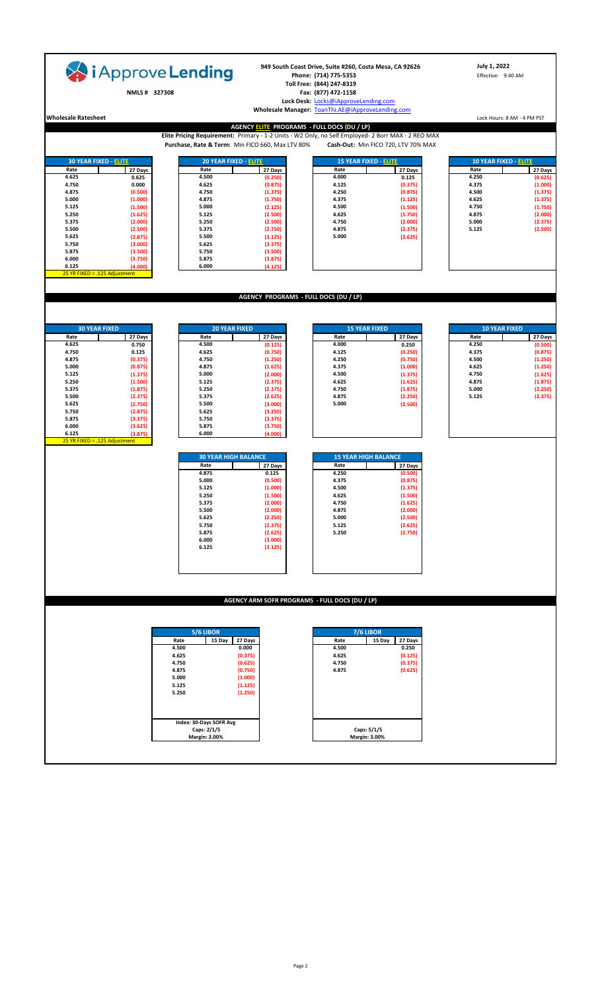| i Approve Lending                                                                |                                                       | 949 South Coast Drive, Suite #260, Costa Mesa, CA 92626<br>Phone: (714) 775-5353<br>Toll Free: (844) 247-8319                             | July 1, 2022<br>Effective: 9:40 AM              |
|----------------------------------------------------------------------------------|-------------------------------------------------------|-------------------------------------------------------------------------------------------------------------------------------------------|-------------------------------------------------|
| NMLS# 327308                                                                     |                                                       | Fax: (877) 472-1158                                                                                                                       |                                                 |
|                                                                                  |                                                       | Lock Desk: Locks@iApproveLending.com<br>Wholesale Manager: ToanThi.AE@iApproveLending.com                                                 |                                                 |
| <b>Wholesale Ratesheet</b>                                                       | AGENCY ELITE PROGRAMS - FULL DOCS (DU / LP)           |                                                                                                                                           | Lock Hours: 8 AM - 4 PM PST                     |
|                                                                                  | Purchase, Rate & Term: Min FICO 660, Max LTV 80%      | Elite Pricing Requirement: Primary - 1-2 Units - W2 Only, no Self Employed- 2 Borr MAX - 2 REO MAX<br>Cash-Out: Min FICO 720, LTV 70% MAX |                                                 |
|                                                                                  |                                                       |                                                                                                                                           |                                                 |
| <b>30 YEAR FIXED - ELITE</b><br>20 YEAR FIXED - ELITE<br>Rate<br>27 Days<br>Rate | 27 Days                                               | <b>15 YEAR FIXED - ELITE</b><br>Rate<br>27 Days                                                                                           | <b>10 YEAR FIXED - ELITE</b><br>Rate<br>27 Days |
| 4.625<br>4.500<br>0.625                                                          | (0.250)                                               | 4.000<br>0.125                                                                                                                            | 4.250<br>(0.625)                                |
| 4.750<br>0.000<br>4.625<br>4.875<br>(0.500)<br>4.750                             | (0.875)<br>(1.375)                                    | 4.125<br>(0.375)<br>4.250<br>(0.875)                                                                                                      | 4.375<br>(1.000)<br>4.500<br>(1.375)            |
| 5.000<br>(1.000)<br>4.875                                                        | (1.750)                                               | 4.375<br>(1.125)                                                                                                                          | 4.625<br>(1.375)                                |
| 5.125<br>(1.500)<br>5.000<br>5.250<br>5.125<br>(1.625)                           | (2.125)<br>(2.500)                                    | 4.500<br>(1.500)<br>4.625<br>(1.750)                                                                                                      | 4.750<br>(1.750)<br>4.875<br>(2.000)            |
| 5.375<br>5.250<br>(2.000)                                                        | (2.500)                                               | 4.750<br>(2.000)                                                                                                                          | 5.000<br>(2.375)                                |
| 5.500<br>(2.500)<br>5.375                                                        | (2.750)                                               | 4.875<br>(2.375)                                                                                                                          | (2.500)<br>5.125                                |
| 5.625<br>(2.875)<br>5.500<br>5.750<br>(3.000)<br>5.625                           | (3.125)<br>(3.375)                                    | 5.000<br>(2.625)                                                                                                                          |                                                 |
| 5.875<br>(3.500)<br>5.750                                                        | (3.500)                                               |                                                                                                                                           |                                                 |
| 6.000<br>5.875<br>(3.750)<br>6.000<br>6.125                                      | (3.875)                                               |                                                                                                                                           |                                                 |
| (4.000)<br>25 YR FIXED = .125 Adjustment                                         | (4.125)                                               |                                                                                                                                           |                                                 |
|                                                                                  |                                                       |                                                                                                                                           |                                                 |
|                                                                                  | AGENCY PROGRAMS - FULL DOCS (DU / LP)                 |                                                                                                                                           |                                                 |
|                                                                                  |                                                       |                                                                                                                                           |                                                 |
| <b>30 YEAR FIXED</b><br><b>20 YEAR FIXED</b>                                     |                                                       | <b>15 YEAR FIXED</b>                                                                                                                      | <b>10 YEAR FIXED</b>                            |
| Rate<br>27 Days<br>Rate                                                          | 27 Days                                               | Rate<br>27 Days                                                                                                                           | Rate<br>27 Days                                 |
| 4.625<br>0.750<br>4.500                                                          | (0.125)                                               | 4.000<br>0.250                                                                                                                            | 4.250<br>(0.500)                                |
| 4.750<br>0.125<br>4.625<br>4.875<br>(0.375)<br>4.750                             | (0.750)<br>(1.250)                                    | 4.125<br>(0.250)<br>4.250<br>(0.750)                                                                                                      | 4.375<br>(0.875)<br>4.500<br>(1.250)            |
| 5.000<br>(0.875)<br>4.875                                                        | (1.625)                                               | 4.375<br>(1.000)                                                                                                                          | (1.250)<br>4.625                                |
| 5.125<br>5.000<br>(1.375)                                                        | (2.000)                                               | 4.500<br>(1.375)                                                                                                                          | 4.750<br>(1.625)                                |
| 5.250<br>5.125<br>(1.500)<br>5.375<br>(1.875)<br>5.250                           | (2.375)<br>(2.375)                                    | 4.625<br>(1.625)<br>4.750<br>(1.875)                                                                                                      | 4.875<br>(1.875)<br>(2.250)<br>5.000            |
| 5.500<br>(2.375)<br>5.375                                                        | (2.625)                                               | 4.875<br>(2.250)                                                                                                                          | (2.375)<br>5.125                                |
| 5.625<br>(2.750)<br>5.500                                                        | (3.000)                                               | 5.000<br>(2.500)                                                                                                                          |                                                 |
| 5.750<br>(2.875)<br>5.625<br>5.875<br>5.750<br>(3.375)                           | (3.250)<br>(3.375)                                    |                                                                                                                                           |                                                 |
| 6.000<br>(3.625)<br>5.875                                                        | (3.750)                                               |                                                                                                                                           |                                                 |
| 6.125<br>(3.875)<br>6.000<br>25 YR FIXED = .125 Adjustment                       | (4.000)                                               |                                                                                                                                           |                                                 |
| <b>30 YEAR HIGH BALANCE</b>                                                      |                                                       | <b>15 YEAR HIGH BALANCE</b>                                                                                                               |                                                 |
| Rate                                                                             | 27 Days                                               | Rate<br>27 Days                                                                                                                           |                                                 |
| 4.875                                                                            | 0.125                                                 | 4.250<br>(0.500)                                                                                                                          |                                                 |
| 5.000<br>5.125                                                                   | (0.500)<br>(1.000)                                    | 4.375<br>(0.875)<br>4.500<br>(1.375)                                                                                                      |                                                 |
| 5.250                                                                            | (1.500)                                               | 4.625<br>(1.500)                                                                                                                          |                                                 |
| 5.375                                                                            | (2.000)                                               | (1.625)<br>4.750                                                                                                                          |                                                 |
| 5.500<br>5.625                                                                   | (2.000)<br>(2.250)                                    | 4.875<br>(2.000)<br>5.000<br>(2.500)                                                                                                      |                                                 |
| 5.750                                                                            | (2.375)                                               | 5.125<br>(2.625)                                                                                                                          |                                                 |
| 5.875                                                                            | (2.625)                                               | 5.250<br>(2.750)                                                                                                                          |                                                 |
| 6.000<br>6.125                                                                   | (3.000)<br>(3.125)                                    |                                                                                                                                           |                                                 |
|                                                                                  |                                                       |                                                                                                                                           |                                                 |
|                                                                                  |                                                       |                                                                                                                                           |                                                 |
|                                                                                  |                                                       |                                                                                                                                           |                                                 |
|                                                                                  |                                                       |                                                                                                                                           |                                                 |
|                                                                                  | <b>AGENCY ARM SOFR PROGRAMS - FULL DOCS (DU / LP)</b> |                                                                                                                                           |                                                 |
|                                                                                  |                                                       |                                                                                                                                           |                                                 |
| 5/6 LIBOR                                                                        |                                                       | 7/6 LIBOR                                                                                                                                 |                                                 |
| 15 Day<br>Rate<br>4.500                                                          | 27 Days<br>0.000                                      | 15 Day<br>Rate<br>27 Days<br>4.500<br>0.250                                                                                               |                                                 |
| 4.625                                                                            | (0.375)                                               | 4.625<br>(0.125)                                                                                                                          |                                                 |
| 4.750                                                                            | (0.625)                                               | 4.750<br>(0.375)                                                                                                                          |                                                 |
| 4.875<br>5.000                                                                   | (0.750)<br>(1.000)                                    | 4.875<br>(0.625)                                                                                                                          |                                                 |
| 5.125                                                                            | (1.125)                                               |                                                                                                                                           |                                                 |
| 5.250                                                                            | (1.250)                                               |                                                                                                                                           |                                                 |
|                                                                                  |                                                       |                                                                                                                                           |                                                 |
| Index: 30-Days SOFR Avg                                                          |                                                       |                                                                                                                                           |                                                 |
| Caps: 2/1/5                                                                      |                                                       | Caps: 5/1/5                                                                                                                               |                                                 |
| Margin: 3.00%                                                                    |                                                       | Margin: 3.00%                                                                                                                             |                                                 |
|                                                                                  |                                                       |                                                                                                                                           |                                                 |
|                                                                                  |                                                       |                                                                                                                                           |                                                 |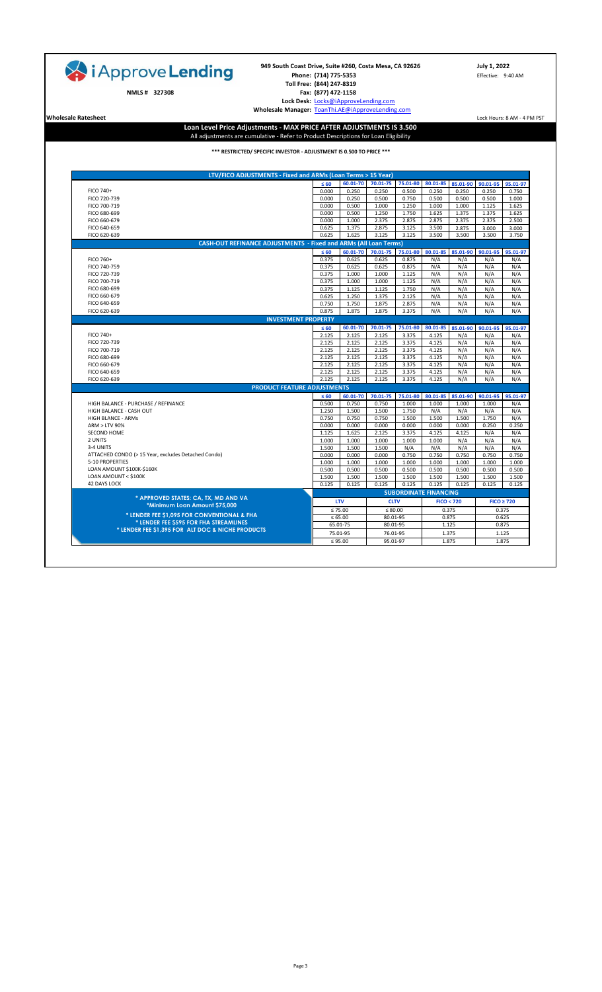| i Approve Lending<br>NMLS # 327308<br><b>Wholesale Ratesheet</b>                            | 949 South Coast Drive, Suite #260, Costa Mesa, CA 92626<br>Phone: (714) 775-5353<br>Toll Free: (844) 247-8319<br>Fax: (877) 472-1158<br>Lock Desk: Locks@iApproveLending.com<br>Wholesale Manager: ToanThi.AE@iApproveLending.com |                |                |                              |                |                | July 1, 2022<br>Effective: 9:40 AM<br>Lock Hours: 8 AM - 4 PM PST |                |
|---------------------------------------------------------------------------------------------|-----------------------------------------------------------------------------------------------------------------------------------------------------------------------------------------------------------------------------------|----------------|----------------|------------------------------|----------------|----------------|-------------------------------------------------------------------|----------------|
|                                                                                             | Loan Level Price Adjustments - MAX PRICE AFTER ADJUSTMENTS IS 3.500<br>All adjustments are cumulative - Refer to Product Descriptions for Loan Eligibility                                                                        |                |                |                              |                |                |                                                                   |                |
|                                                                                             | *** RESTRICTED/ SPECIFIC INVESTOR - ADJUSTMENT IS 0.500 TO PRICE ***                                                                                                                                                              |                |                |                              |                |                |                                                                   |                |
|                                                                                             | LTV/FICO ADJUSTMENTS - Fixed and ARMs (Loan Terms > 15 Year)                                                                                                                                                                      |                |                |                              |                |                |                                                                   |                |
|                                                                                             | $\leq 60$                                                                                                                                                                                                                         | 60.01-70       | 70.01-75       | 75.01-80                     | 80.01-85       | 85.01-90       | 90.01-95                                                          | 95.01-97       |
| FICO 740+                                                                                   | 0.000                                                                                                                                                                                                                             | 0.250          | 0.250          | 0.500                        | 0.250          | 0.250          | 0.250                                                             | 0.750          |
| FICO 720-739                                                                                | 0.000                                                                                                                                                                                                                             | 0.250          | 0.500          | 0.750                        | 0.500          | 0.500          | 0.500                                                             | 1.000          |
| FICO 700-719                                                                                | 0.000                                                                                                                                                                                                                             | 0.500          | 1.000          | 1.250                        | 1.000          | 1.000          | 1.125                                                             | 1.625          |
| FICO 680-699                                                                                | 0.000<br>0.000                                                                                                                                                                                                                    | 0.500<br>1.000 | 1.250<br>2.375 | 1.750<br>2.875               | 1.625<br>2.875 | 1.375          | 1.375                                                             | 1.625          |
| FICO 660-679<br>FICO 640-659                                                                | 0.625                                                                                                                                                                                                                             | 1.375          | 2.875          | 3.125                        | 3.500          | 2.375<br>2.875 | 2.375<br>3.000                                                    | 2.500<br>3.000 |
| FICO 620-639                                                                                | 0.625                                                                                                                                                                                                                             | 1.625          | 3.125          | 3.125                        | 3.500          | 3.500          | 3.500                                                             | 3.750          |
|                                                                                             | <b>CASH-OUT REFINANCE ADJUSTMENTS - Fixed and ARMs (All Loan Terms)</b>                                                                                                                                                           |                |                |                              |                |                |                                                                   |                |
|                                                                                             | $\leq 60$                                                                                                                                                                                                                         | 60.01-70       | 70.01-75       | 75.01-80                     | 80.01-85       | 85.01-90       | 90.01-95                                                          | 95.01-97       |
| FICO 760+                                                                                   | 0.375                                                                                                                                                                                                                             | 0.625          | 0.625          | 0.875                        | N/A            | N/A            | N/A                                                               | N/A            |
| FICO 740-759                                                                                | 0.375                                                                                                                                                                                                                             | 0.625          | 0.625          | 0.875                        | N/A            | N/A            | N/A                                                               | N/A            |
| FICO 720-739<br>FICO 700-719                                                                | 0.375                                                                                                                                                                                                                             | 1.000          | 1.000          | 1.125                        | N/A            | N/A            | N/A                                                               | N/A            |
| FICO 680-699                                                                                | 0.375<br>0.375                                                                                                                                                                                                                    | 1.000<br>1.125 | 1.000<br>1.125 | 1.125<br>1.750               | N/A<br>N/A     | N/A<br>N/A     | N/A<br>N/A                                                        | N/A<br>N/A     |
| FICO 660-679                                                                                | 0.625                                                                                                                                                                                                                             | 1.250          | 1.375          | 2.125                        | N/A            | N/A            | N/A                                                               | N/A            |
| FICO 640-659                                                                                | 0.750                                                                                                                                                                                                                             | 1.750          | 1.875          | 2.875                        | N/A            | N/A            | N/A                                                               | N/A            |
| FICO 620-639                                                                                | 0.875                                                                                                                                                                                                                             | 1.875          | 1.875          | 3.375                        | N/A            | N/A            | N/A                                                               | N/A            |
|                                                                                             | <b>INVESTMENT PROPERTY</b>                                                                                                                                                                                                        |                |                |                              |                |                |                                                                   |                |
|                                                                                             | $\leq 60$                                                                                                                                                                                                                         | 60.01-70       | 70.01-75       | 75.01-80                     | 80.01-85       | 85.01-90       | 90.01-95                                                          | 95.01-97       |
| FICO 740+<br>FICO 720-739                                                                   | 2.125                                                                                                                                                                                                                             | 2.125          | 2.125          | 3.375                        | 4.125<br>4.125 | N/A            | N/A<br>N/A                                                        | N/A            |
| FICO 700-719                                                                                | 2.125<br>2.125                                                                                                                                                                                                                    | 2.125<br>2.125 | 2.125<br>2.125 | 3.375<br>3.375               | 4.125          | N/A<br>N/A     | N/A                                                               | N/A<br>N/A     |
| FICO 680-699                                                                                | 2.125                                                                                                                                                                                                                             | 2.125          | 2.125          | 3.375                        | 4.125          | N/A            | N/A                                                               | N/A            |
| FICO 660-679                                                                                | 2.125                                                                                                                                                                                                                             | 2.125          | 2.125          | 3.375                        | 4.125          | N/A            | N/A                                                               | N/A            |
| FICO 640-659                                                                                | 2.125                                                                                                                                                                                                                             | 2.125          | 2.125          | 3.375                        | 4.125          | N/A            | N/A                                                               | N/A            |
| FICO 620-639                                                                                | 2.125                                                                                                                                                                                                                             | 2.125          | 2.125          | 3.375                        | 4.125          | N/A            | N/A                                                               | N/A            |
|                                                                                             | <b>PRODUCT FEATURE ADJUSTMENTS</b>                                                                                                                                                                                                |                |                |                              |                |                |                                                                   |                |
|                                                                                             | $\leq 60$                                                                                                                                                                                                                         | 60.01-70       | 70.01-75       | 75.01-80                     | 80.01-85       | 85.01-90       | 90.01-95                                                          | 95.01-97       |
| HIGH BALANCE - PURCHASE / REFINANCE<br>HIGH BALANCE - CASH OUT                              | 0.500<br>1.250                                                                                                                                                                                                                    | 0.750<br>1.500 | 0.750<br>1.500 | 1.000<br>1.750               | 1.000<br>N/A   | 1.000<br>N/A   | 1.000<br>N/A                                                      | N/A<br>N/A     |
| <b>HIGH BLANCE - ARMs</b>                                                                   | 0.750                                                                                                                                                                                                                             | 0.750          | 0.750          | 1.500                        | 1.500          | 1.500          | 1.750                                                             | N/A            |
| ARM > LTV 90%                                                                               | 0.000                                                                                                                                                                                                                             | 0.000          | 0.000          | 0.000                        | 0.000          | 0.000          | 0.250                                                             | 0.250          |
| SECOND HOME                                                                                 | 1.125                                                                                                                                                                                                                             | 1.625          | 2.125          | 3.375                        | 4.125          | 4.125          | N/A                                                               | N/A            |
| 2 UNITS                                                                                     | 1.000                                                                                                                                                                                                                             | 1.000          | 1.000          | 1.000                        | 1.000          | N/A            | N/A                                                               | N/A            |
| 3-4 UNITS                                                                                   | 1.500                                                                                                                                                                                                                             | 1.500          | 1.500          | N/A                          | N/A            | N/A            | N/A                                                               | N/A            |
| ATTACHED CONDO (> 15 Year, excludes Detached Condo)<br>5-10 PROPERTIES                      | 0.000<br>1.000                                                                                                                                                                                                                    | 0.000<br>1.000 | 0.000<br>1.000 | 0.750<br>1.000               | 0.750<br>1.000 | 0.750<br>1.000 | 0.750<br>1.000                                                    | 0.750<br>1.000 |
| LOAN AMOUNT \$100K-\$160K                                                                   | 0.500                                                                                                                                                                                                                             | 0.500          | 0.500          | 0.500                        | 0.500          | 0.500          | 0.500                                                             | 0.500          |
| LOAN AMOUNT < \$100K                                                                        | 1.500                                                                                                                                                                                                                             | 1.500          | 1.500          | 1.500                        | 1.500          | 1.500          | 1.500                                                             | 1.500          |
| <b>42 DAYS LOCK</b>                                                                         | 0.125                                                                                                                                                                                                                             | 0.125          | 0.125          | 0.125                        | 0.125          | 0.125          | 0.125                                                             | 0.125          |
|                                                                                             |                                                                                                                                                                                                                                   |                |                | <b>SUBORDINATE FINANCING</b> |                |                |                                                                   |                |
| * APPROVED STATES: CA, TX, MD AND VA<br>*Minimum Loan Amount \$75,000                       |                                                                                                                                                                                                                                   | LTV            | <b>CLTV</b>    |                              |                | FICO < 720     | $FICO \geq 720$                                                   |                |
|                                                                                             |                                                                                                                                                                                                                                   | $\leq 75.00$   | $\leq 80.00$   |                              |                | 0.375          |                                                                   | 0.375          |
| * LENDER FEE \$1,095 FOR CONVENTIONAL & FHA                                                 |                                                                                                                                                                                                                                   | $\le 65.00$    | 80.01-95       |                              |                | 0.875          |                                                                   | 0.625          |
| * LENDER FEE \$595 FOR FHA STREAMLINES<br>* LENDER FEE \$1,395 FOR ALT DOC & NICHE PRODUCTS |                                                                                                                                                                                                                                   | 65.01-75       | 80.01-95       |                              |                | 1.125          |                                                                   | 0.875          |
|                                                                                             |                                                                                                                                                                                                                                   | 75.01-95       | 76.01-95       |                              |                | 1.375          |                                                                   | 1.125          |
|                                                                                             |                                                                                                                                                                                                                                   | $\leq 95.00$   | 95.01-97       |                              |                | 1.875          |                                                                   | 1.875          |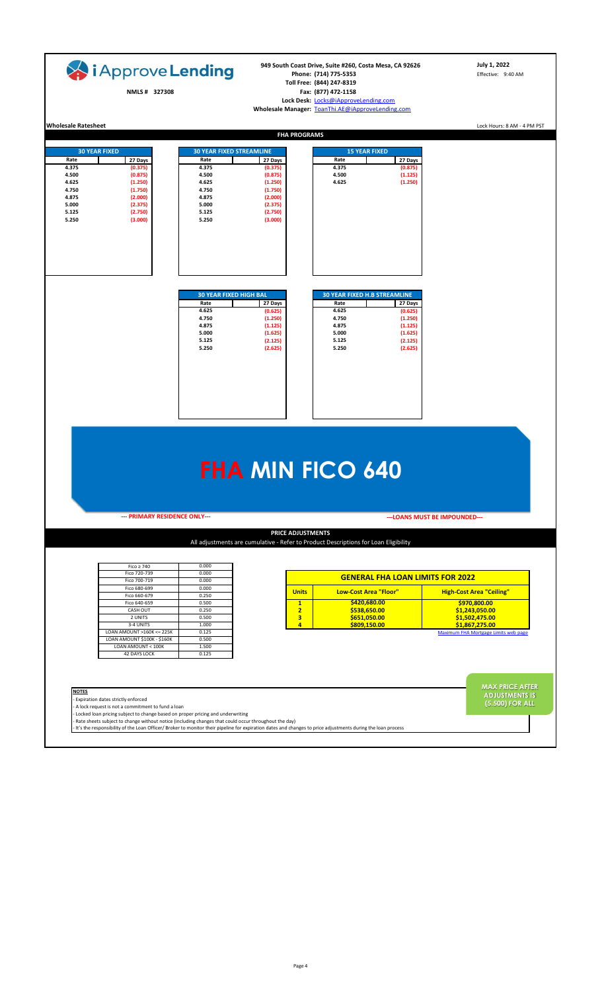| i Approve Lending<br>NMLS# 327308                                                                                                                                                                       |                                                                                                                 | 949 South Coast Drive, Suite #260, Costa Mesa, CA 92626<br>Phone: (714) 775-5353<br>Toll Free: (844) 247-8319<br>Fax: (877) 472-1158<br>Lock Desk: Locks@iApproveLending.com<br>Wholesale Manager: ToanThi.AE@iApproveLending.com |                                                                                                   | July 1, 2022<br>Effective: 9:40 AM                                        |                                                                    |  |
|---------------------------------------------------------------------------------------------------------------------------------------------------------------------------------------------------------|-----------------------------------------------------------------------------------------------------------------|-----------------------------------------------------------------------------------------------------------------------------------------------------------------------------------------------------------------------------------|---------------------------------------------------------------------------------------------------|---------------------------------------------------------------------------|--------------------------------------------------------------------|--|
| <b>Wholesale Ratesheet</b>                                                                                                                                                                              |                                                                                                                 | <b>FHA PROGRAMS</b>                                                                                                                                                                                                               |                                                                                                   |                                                                           | Lock Hours: 8 AM - 4 PM PST                                        |  |
|                                                                                                                                                                                                         |                                                                                                                 |                                                                                                                                                                                                                                   |                                                                                                   |                                                                           |                                                                    |  |
| <b>30 YEAR FIXED</b><br>Rate<br>27 Days<br>4.375<br>(0.375)<br>4.500<br>(0.875)<br>4.625<br>(1.250)<br>4.750<br>(1.750)<br>4.875<br>(2.000)<br>5.000<br>(2.375)<br>5.125<br>(2.750)<br>5.250<br>(3.000) | <b>30 YEAR FIXED STREAMLINE</b><br>Rate<br>4.375<br>4.500<br>4.625<br>4.750<br>4.875<br>5.000<br>5.125<br>5.250 | 27 Days<br>(0.375)<br>(0.875)<br>(1.250)<br>(1.750)<br>(2.000)<br>(2.375)<br>(2.750)<br>(3.000)                                                                                                                                   | <b>15 YEAR FIXED</b><br>Rate<br>4.375<br>4.500<br>4.625                                           | 27 Days<br>(0.875)<br>(1.125)<br>(1.250)                                  |                                                                    |  |
|                                                                                                                                                                                                         | <b>30 YEAR FIXED HIGH BAL</b><br>Rate<br>4.625<br>4.750<br>4.875<br>5.000<br>5.125<br>5.250                     | 27 Days<br>(0.625)<br>(1.250)<br>(1.125)<br>(1.625)<br>(2.125)<br>(2.625)                                                                                                                                                         | <b>30 YEAR FIXED H.B STREAMLINE</b><br>Rate<br>4.625<br>4.750<br>4.875<br>5.000<br>5.125<br>5.250 | 27 Days<br>(0.625)<br>(1.250)<br>(1.125)<br>(1.625)<br>(2.125)<br>(2.625) |                                                                    |  |
|                                                                                                                                                                                                         |                                                                                                                 |                                                                                                                                                                                                                                   | <b>FHA MIN FICO 640</b>                                                                           |                                                                           |                                                                    |  |
| --- PRIMARY RESIDENCE ONLY---                                                                                                                                                                           |                                                                                                                 |                                                                                                                                                                                                                                   |                                                                                                   | --- LOANS MUST BE IMPOUNDED---                                            |                                                                    |  |
|                                                                                                                                                                                                         |                                                                                                                 | <b>PRICE ADJUSTMENTS</b>                                                                                                                                                                                                          | All adjustments are cumulative - Refer to Product Descriptions for Loan Eligibility               |                                                                           |                                                                    |  |
| $Fico \geq 740$<br>Fico 720-739                                                                                                                                                                         | 0.000<br>0.000                                                                                                  |                                                                                                                                                                                                                                   |                                                                                                   |                                                                           |                                                                    |  |
| Fico 700-719<br>Fico 680-699                                                                                                                                                                            | 0.000<br>0.000                                                                                                  |                                                                                                                                                                                                                                   |                                                                                                   | <b>GENERAL FHA LOAN LIMITS FOR 2022</b>                                   |                                                                    |  |
| Fico 660-679                                                                                                                                                                                            | 0.250                                                                                                           | <b>Units</b>                                                                                                                                                                                                                      | <b>Low-Cost Area "Floor"</b>                                                                      |                                                                           | <b>High-Cost Area "Ceiling"</b>                                    |  |
| Fico 640-659<br><b>CASH OUT</b>                                                                                                                                                                         | 0.500<br>0.250                                                                                                  | $\mathbf{1}$<br>$\overline{2}$                                                                                                                                                                                                    | \$420,680.00<br>\$538,650.00                                                                      |                                                                           | \$970,800.00<br>\$1,243,050.00                                     |  |
| 2 UNITS                                                                                                                                                                                                 | 0.500                                                                                                           | $\overline{\mathbf{3}}$                                                                                                                                                                                                           | \$651,050.00                                                                                      |                                                                           | \$1,502,475.00                                                     |  |
| 3-4 UNITS<br>LOAN AMOUNT >160K <= 225K                                                                                                                                                                  | 1.000<br>0.125                                                                                                  | 4                                                                                                                                                                                                                                 | \$809,150.00                                                                                      |                                                                           | \$1,867,275.00                                                     |  |
| LOAN AMOUNT \$100K - \$160K<br>LOAN AMOUNT < 100K<br><b>42 DAYS LOCK</b>                                                                                                                                | 0.500<br>1.500<br>0.125                                                                                         |                                                                                                                                                                                                                                   |                                                                                                   |                                                                           | <b>Maximum FHA Mortgage Limits web page</b>                        |  |
| <b>NOTES</b><br>Expiration dates strictly enforced<br>A lock request is not a commitment to fund a loan                                                                                                 | Locked loan pricing subject to change based on proper pricing and underwriting                                  |                                                                                                                                                                                                                                   |                                                                                                   |                                                                           | <b>MAX PRICE AFTER</b><br><b>ADJUSTMENTS IS</b><br>(5.500) FOR ALL |  |